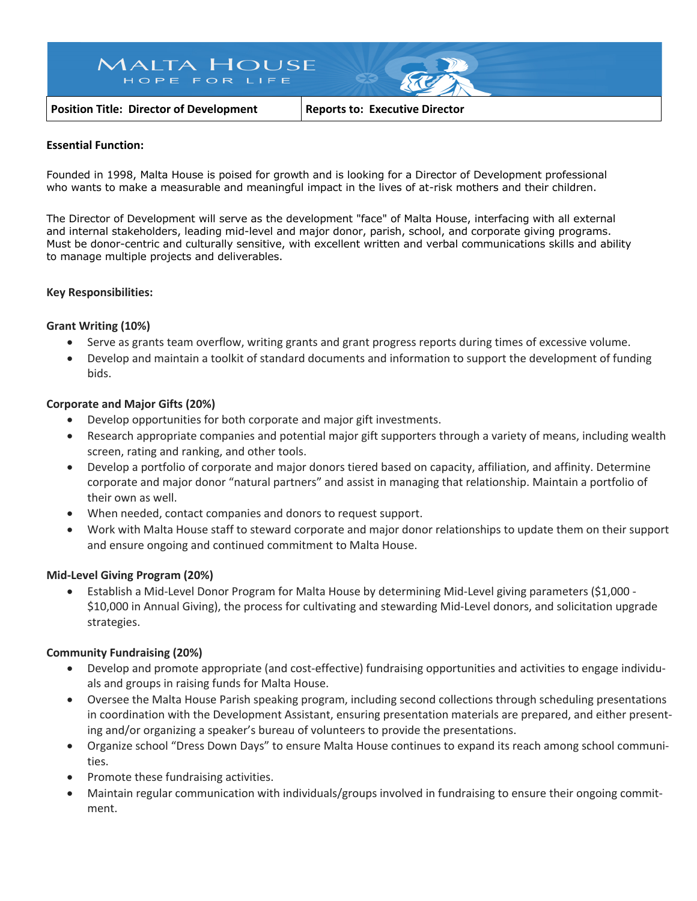# **MALTA HOUSE** HOPE FOR LIFE

**Position Title: Director of Development Reports to: Executive Director**

#### **Essential Function:**

Founded in 1998, Malta House is poised for growth and is looking for a Director of Development professional who wants to make a measurable and meaningful impact in the lives of at-risk mothers and their children.

The Director of Development will serve as the development "face" of Malta House, interfacing with all external and internal stakeholders, leading mid-level and major donor, parish, school, and corporate giving programs. Must be donor-centric and culturally sensitive, with excellent written and verbal communications skills and ability to manage multiple projects and deliverables.

### **Key Responsibilities:**

### **Grant Writing (10%)**

- Serve as grants team overflow, writing grants and grant progress reports during times of excessive volume.
- Develop and maintain a toolkit of standard documents and information to support the development of funding bids.

### **Corporate and Major Gifts (20%)**

- Develop opportunities for both corporate and major gift investments.
- Research appropriate companies and potential major gift supporters through a variety of means, including wealth screen, rating and ranking, and other tools.
- Develop a portfolio of corporate and major donors tiered based on capacity, affiliation, and affinity. Determine corporate and major donor "natural partners" and assist in managing that relationship. Maintain a portfolio of their own as well.
- When needed, contact companies and donors to request support.
- Work with Malta House staff to steward corporate and major donor relationships to update them on their support and ensure ongoing and continued commitment to Malta House.

### **Mid-Level Giving Program (20%)**

• Establish a Mid-Level Donor Program for Malta House by determining Mid-Level giving parameters (\$1,000 - \$10,000 in Annual Giving), the process for cultivating and stewarding Mid-Level donors, and solicitation upgrade strategies.

### **Community Fundraising (20%)**

- Develop and promote appropriate (and cost-effective) fundraising opportunities and activities to engage individuals and groups in raising funds for Malta House.
- Oversee the Malta House Parish speaking program, including second collections through scheduling presentations in coordination with the Development Assistant, ensuring presentation materials are prepared, and either presenting and/or organizing a speaker's bureau of volunteers to provide the presentations.
- Organize school "Dress Down Days" to ensure Malta House continues to expand its reach among school communities.
- Promote these fundraising activities.
- Maintain regular communication with individuals/groups involved in fundraising to ensure their ongoing commitment.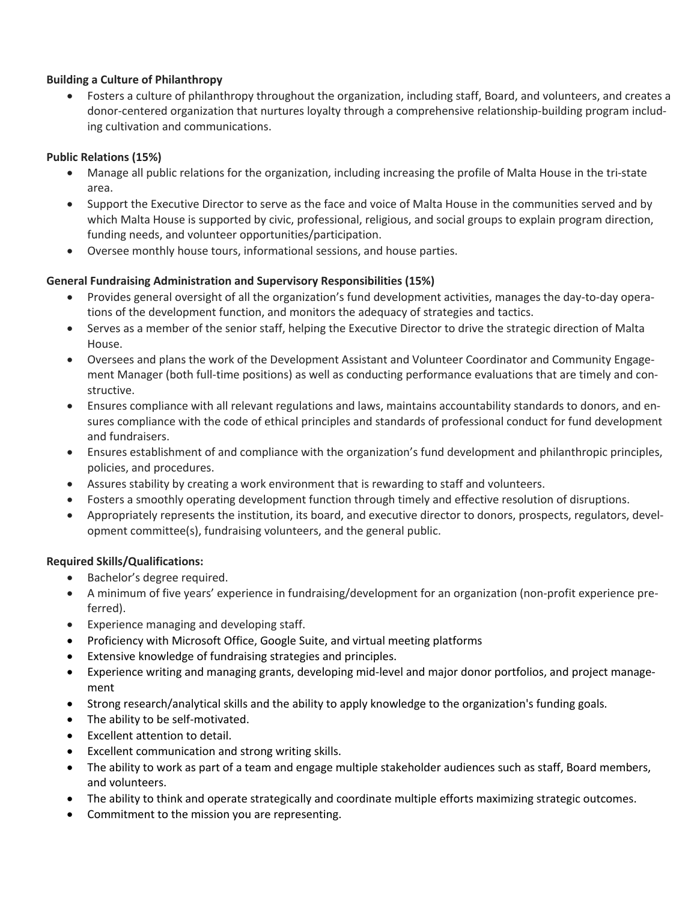# **Building a Culture of Philanthropy**

• Fosters a culture of philanthropy throughout the organization, including staff, Board, and volunteers, and creates a donor-centered organization that nurtures loyalty through a comprehensive relationship-building program including cultivation and communications.

# **Public Relations (15%)**

- Manage all public relations for the organization, including increasing the profile of Malta House in the tri-state area.
- Support the Executive Director to serve as the face and voice of Malta House in the communities served and by which Malta House is supported by civic, professional, religious, and social groups to explain program direction, funding needs, and volunteer opportunities/participation.
- Oversee monthly house tours, informational sessions, and house parties.

# **General Fundraising Administration and Supervisory Responsibilities (15%)**

- Provides general oversight of all the organization's fund development activities, manages the day-to-day operations of the development function, and monitors the adequacy of strategies and tactics.
- Serves as a member of the senior staff, helping the Executive Director to drive the strategic direction of Malta House.
- Oversees and plans the work of the Development Assistant and Volunteer Coordinator and Community Engagement Manager (both full-time positions) as well as conducting performance evaluations that are timely and constructive.
- Ensures compliance with all relevant regulations and laws, maintains accountability standards to donors, and ensures compliance with the code of ethical principles and standards of professional conduct for fund development and fundraisers.
- Ensures establishment of and compliance with the organization's fund development and philanthropic principles, policies, and procedures.
- Assures stability by creating a work environment that is rewarding to staff and volunteers.
- Fosters a smoothly operating development function through timely and effective resolution of disruptions.
- Appropriately represents the institution, its board, and executive director to donors, prospects, regulators, development committee(s), fundraising volunteers, and the general public.

## **Required Skills/Qualifications:**

- Bachelor's degree required.
- A minimum of five years' experience in fundraising/development for an organization (non-profit experience preferred).
- Experience managing and developing staff.
- Proficiency with Microsoft Office, Google Suite, and virtual meeting platforms
- Extensive knowledge of fundraising strategies and principles.
- Experience writing and managing grants, developing mid-level and major donor portfolios, and project management
- Strong research/analytical skills and the ability to apply knowledge to the organization's funding goals.
- The ability to be self-motivated.
- Excellent attention to detail.
- Excellent communication and strong writing skills.
- The ability to work as part of a team and engage multiple stakeholder audiences such as staff, Board members, and volunteers.
- The ability to think and operate strategically and coordinate multiple efforts maximizing strategic outcomes.
- Commitment to the mission you are representing.